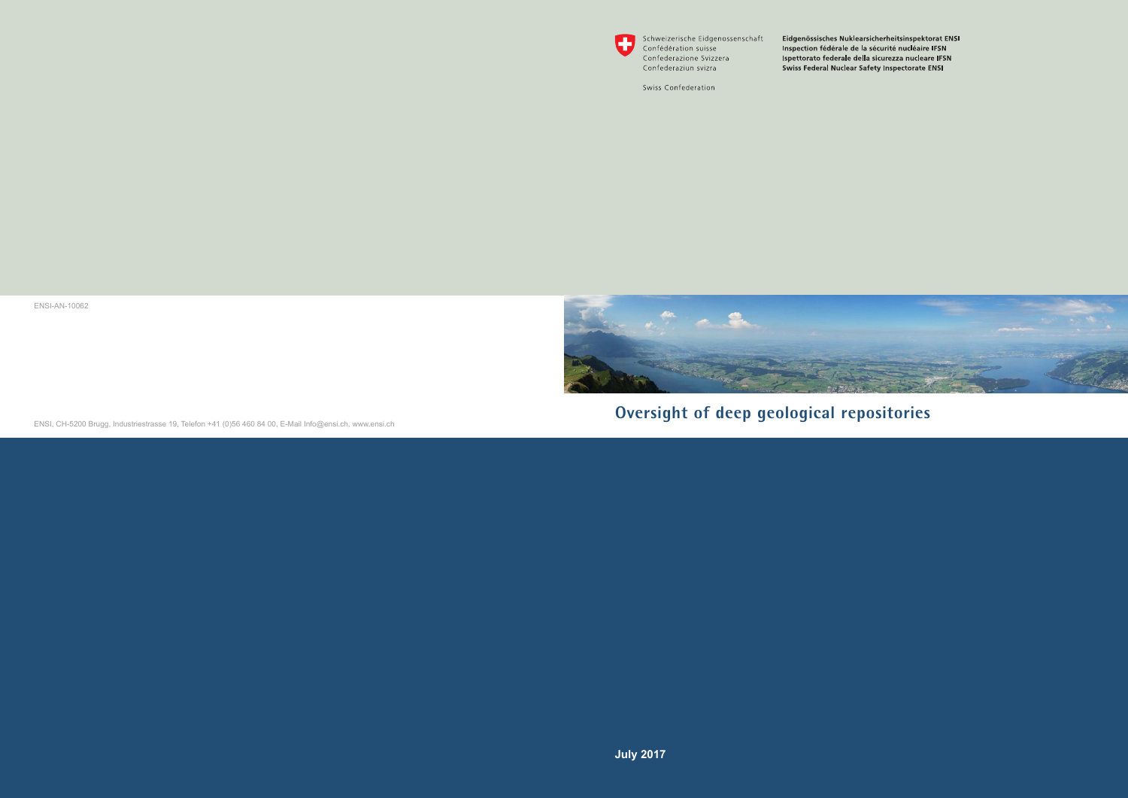

Schweizerische Eidgenossenschaft Confédération suisse Confederazione Svizzera Confederaziun svizra

Swiss Confederation

Eidgenössisches Nuklearsicherheitsinspektorat ENSI Inspection fédérale de la sécurité nucléaire IFSN Ispettorato federale della sicurezza nucleare IFSN Swiss Federal Nuclear Safety Inspectorate ENSI



**Oversight of deep geological repositories**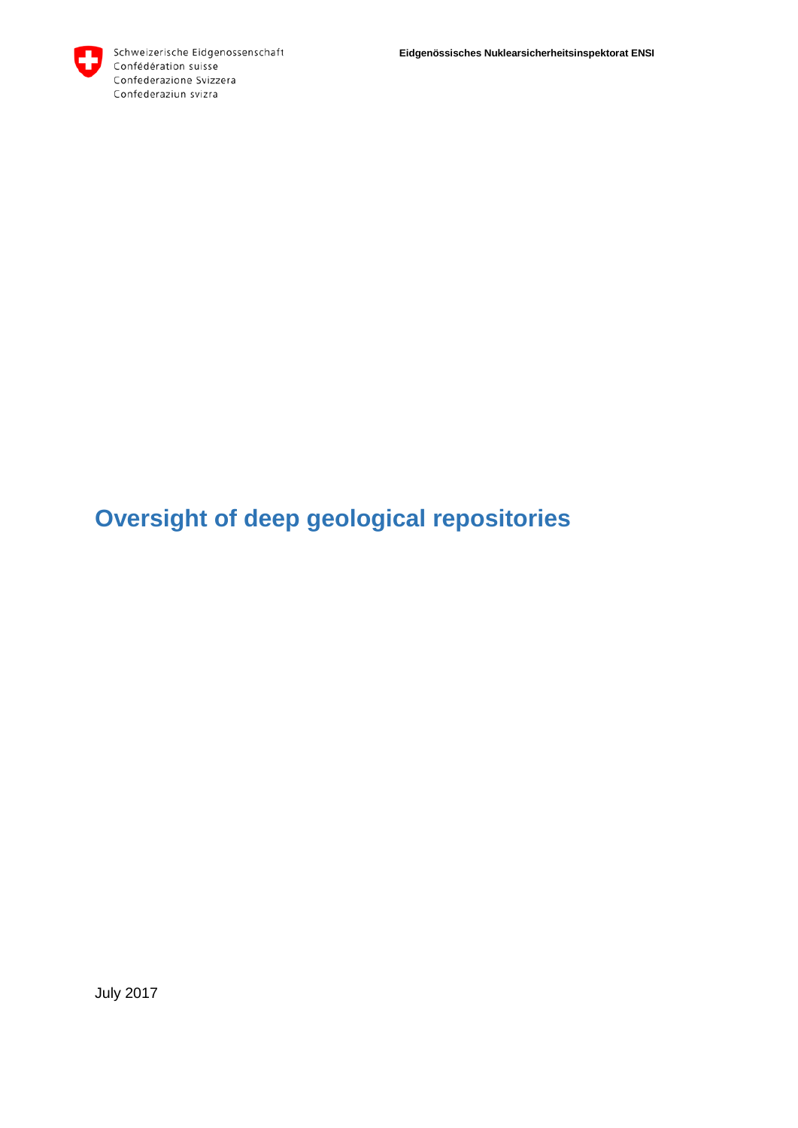# **Oversight of deep geological repositories**

July 2017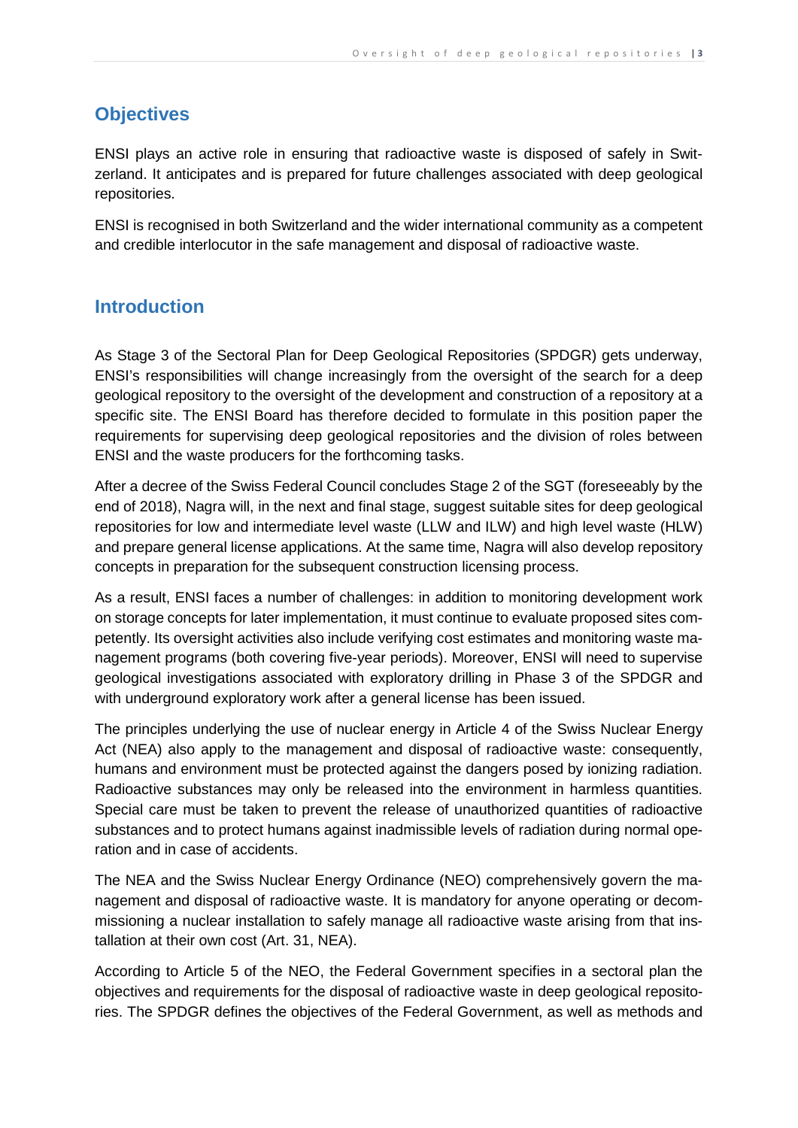# **Objectives**

ENSI plays an active role in ensuring that radioactive waste is disposed of safely in Switzerland. It anticipates and is prepared for future challenges associated with deep geological repositories.

ENSI is recognised in both Switzerland and the wider international community as a competent and credible interlocutor in the safe management and disposal of radioactive waste.

# **Introduction**

As Stage 3 of the Sectoral Plan for Deep Geological Repositories (SPDGR) gets underway, ENSI's responsibilities will change increasingly from the oversight of the search for a deep geological repository to the oversight of the development and construction of a repository at a specific site. The ENSI Board has therefore decided to formulate in this position paper the requirements for supervising deep geological repositories and the division of roles between ENSI and the waste producers for the forthcoming tasks.

After a decree of the Swiss Federal Council concludes Stage 2 of the SGT (foreseeably by the end of 2018), Nagra will, in the next and final stage, suggest suitable sites for deep geological repositories for low and intermediate level waste (LLW and ILW) and high level waste (HLW) and prepare general license applications. At the same time, Nagra will also develop repository concepts in preparation for the subsequent construction licensing process.

As a result, ENSI faces a number of challenges: in addition to monitoring development work on storage concepts for later implementation, it must continue to evaluate proposed sites competently. Its oversight activities also include verifying cost estimates and monitoring waste management programs (both covering five-year periods). Moreover, ENSI will need to supervise geological investigations associated with exploratory drilling in Phase 3 of the SPDGR and with underground exploratory work after a general license has been issued.

The principles underlying the use of nuclear energy in Article 4 of the Swiss Nuclear Energy Act (NEA) also apply to the management and disposal of radioactive waste: consequently, humans and environment must be protected against the dangers posed by ionizing radiation. Radioactive substances may only be released into the environment in harmless quantities. Special care must be taken to prevent the release of unauthorized quantities of radioactive substances and to protect humans against inadmissible levels of radiation during normal operation and in case of accidents.

The NEA and the Swiss Nuclear Energy Ordinance (NEO) comprehensively govern the management and disposal of radioactive waste. It is mandatory for anyone operating or decommissioning a nuclear installation to safely manage all radioactive waste arising from that installation at their own cost (Art. 31, NEA).

According to Article 5 of the NEO, the Federal Government specifies in a sectoral plan the objectives and requirements for the disposal of radioactive waste in deep geological repositories. The SPDGR defines the objectives of the Federal Government, as well as methods and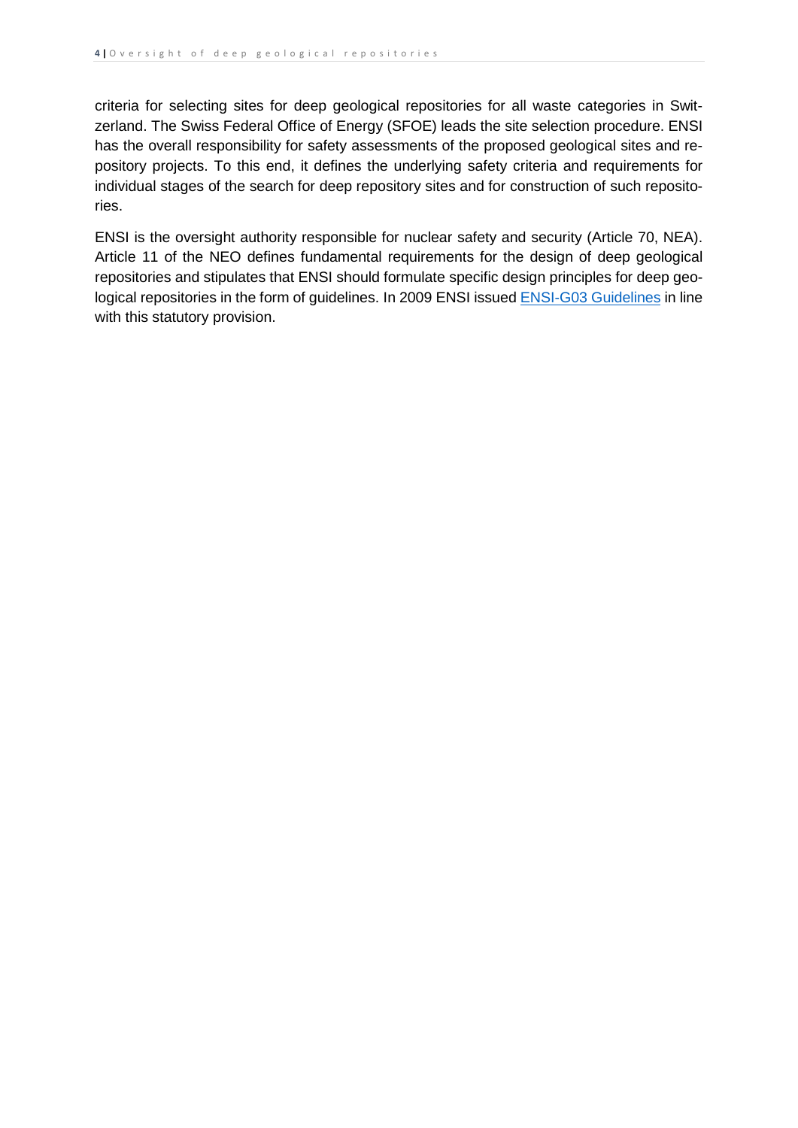criteria for selecting sites for deep geological repositories for all waste categories in Switzerland. The Swiss Federal Office of Energy (SFOE) leads the site selection procedure. ENSI has the overall responsibility for safety assessments of the proposed geological sites and repository projects. To this end, it defines the underlying safety criteria and requirements for individual stages of the search for deep repository sites and for construction of such repositories.

ENSI is the oversight authority responsible for nuclear safety and security (Article 70, NEA). Article 11 of the NEO defines fundamental requirements for the design of deep geological repositories and stipulates that ENSI should formulate specific design principles for deep geological repositories in the form of guidelines. In 2009 ENSI issued **ENSI-G03 Guidelines** in line with this statutory provision.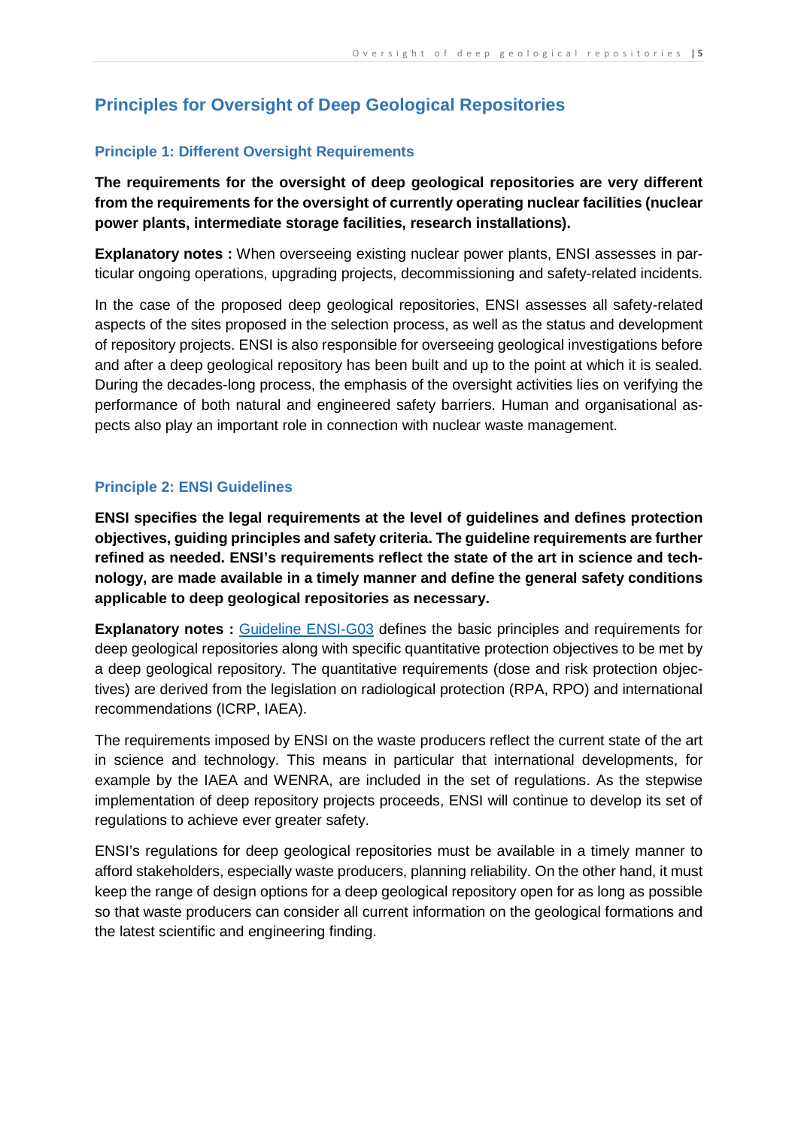# **Principles for Oversight of Deep Geological Repositories**

# **Principle 1: Different Oversight Requirements**

**The requirements for the oversight of deep geological repositories are very different from the requirements for the oversight of currently operating nuclear facilities (nuclear power plants, intermediate storage facilities, research installations).**

**Explanatory notes :** When overseeing existing nuclear power plants, ENSI assesses in particular ongoing operations, upgrading projects, decommissioning and safety-related incidents.

In the case of the proposed deep geological repositories, ENSI assesses all safety-related aspects of the sites proposed in the selection process, as well as the status and development of repository projects. ENSI is also responsible for overseeing geological investigations before and after a deep geological repository has been built and up to the point at which it is sealed. During the decades-long process, the emphasis of the oversight activities lies on verifying the performance of both natural and engineered safety barriers. Human and organisational aspects also play an important role in connection with nuclear waste management.

# **Principle 2: ENSI Guidelines**

**ENSI specifies the legal requirements at the level of guidelines and defines protection objectives, guiding principles and safety criteria. The guideline requirements are further refined as needed. ENSI's requirements reflect the state of the art in science and technology, are made available in a timely manner and define the general safety conditions applicable to deep geological repositories as necessary.**

**Explanatory notes** : [Guideline ENSI-G03](https://www.ensi.ch/en/documents/guideline-ensi-g03-english/) defines the basic principles and requirements for deep geological repositories along with specific quantitative protection objectives to be met by a deep geological repository. The quantitative requirements (dose and risk protection objectives) are derived from the legislation on radiological protection (RPA, RPO) and international recommendations (ICRP, IAEA).

The requirements imposed by ENSI on the waste producers reflect the current state of the art in science and technology. This means in particular that international developments, for example by the IAEA and WENRA, are included in the set of regulations. As the stepwise implementation of deep repository projects proceeds, ENSI will continue to develop its set of regulations to achieve ever greater safety.

ENSI's regulations for deep geological repositories must be available in a timely manner to afford stakeholders, especially waste producers, planning reliability. On the other hand, it must keep the range of design options for a deep geological repository open for as long as possible so that waste producers can consider all current information on the geological formations and the latest scientific and engineering finding.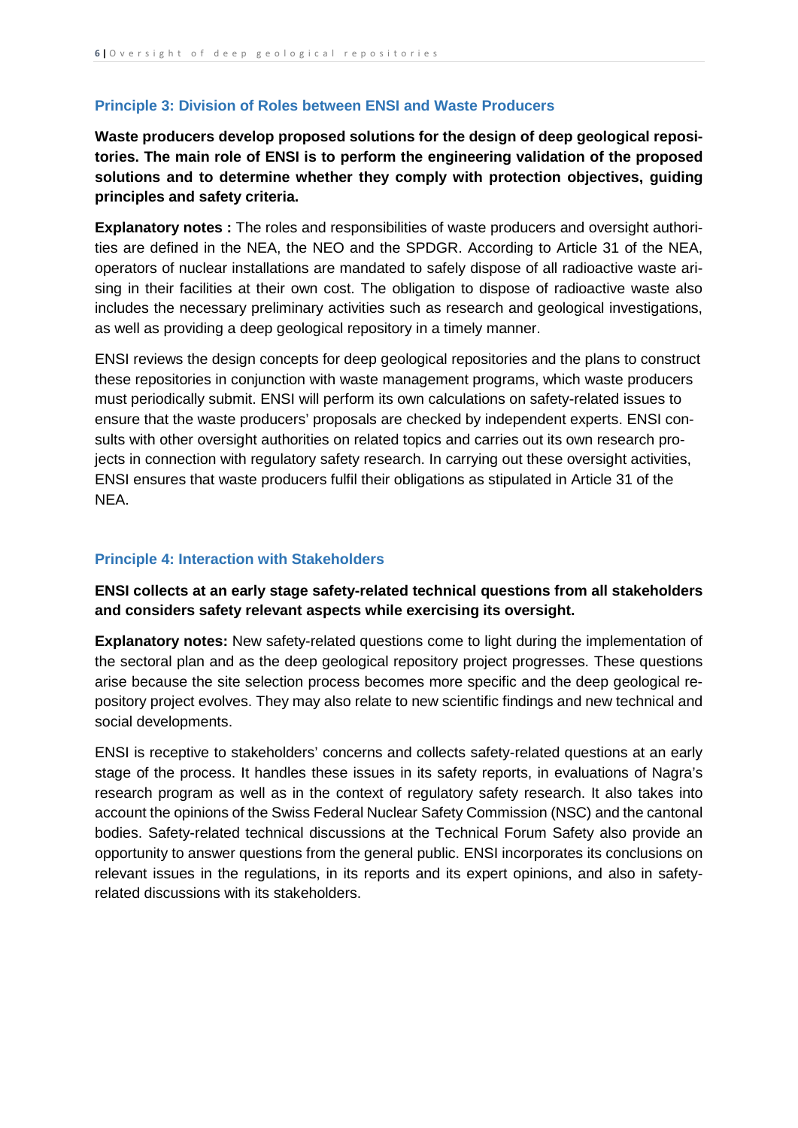#### **Principle 3: Division of Roles between ENSI and Waste Producers**

**Waste producers develop proposed solutions for the design of deep geological repositories. The main role of ENSI is to perform the engineering validation of the proposed solutions and to determine whether they comply with protection objectives, guiding principles and safety criteria.**

**Explanatory notes :** The roles and responsibilities of waste producers and oversight authorities are defined in the NEA, the NEO and the SPDGR. According to Article 31 of the NEA, operators of nuclear installations are mandated to safely dispose of all radioactive waste arising in their facilities at their own cost. The obligation to dispose of radioactive waste also includes the necessary preliminary activities such as research and geological investigations, as well as providing a deep geological repository in a timely manner.

ENSI reviews the design concepts for deep geological repositories and the plans to construct these repositories in conjunction with waste management programs, which waste producers must periodically submit. ENSI will perform its own calculations on safety-related issues to ensure that the waste producers' proposals are checked by independent experts. ENSI consults with other oversight authorities on related topics and carries out its own research projects in connection with regulatory safety research. In carrying out these oversight activities, ENSI ensures that waste producers fulfil their obligations as stipulated in Article 31 of the NEA.

#### **Principle 4: Interaction with Stakeholders**

### **ENSI collects at an early stage safety-related technical questions from all stakeholders and considers safety relevant aspects while exercising its oversight.**

**Explanatory notes:** New safety-related questions come to light during the implementation of the sectoral plan and as the deep geological repository project progresses. These questions arise because the site selection process becomes more specific and the deep geological repository project evolves. They may also relate to new scientific findings and new technical and social developments.

ENSI is receptive to stakeholders' concerns and collects safety-related questions at an early stage of the process. It handles these issues in its safety reports, in evaluations of Nagra's research program as well as in the context of regulatory safety research. It also takes into account the opinions of the Swiss Federal Nuclear Safety Commission (NSC) and the cantonal bodies. Safety-related technical discussions at the Technical Forum Safety also provide an opportunity to answer questions from the general public. ENSI incorporates its conclusions on relevant issues in the regulations, in its reports and its expert opinions, and also in safetyrelated discussions with its stakeholders.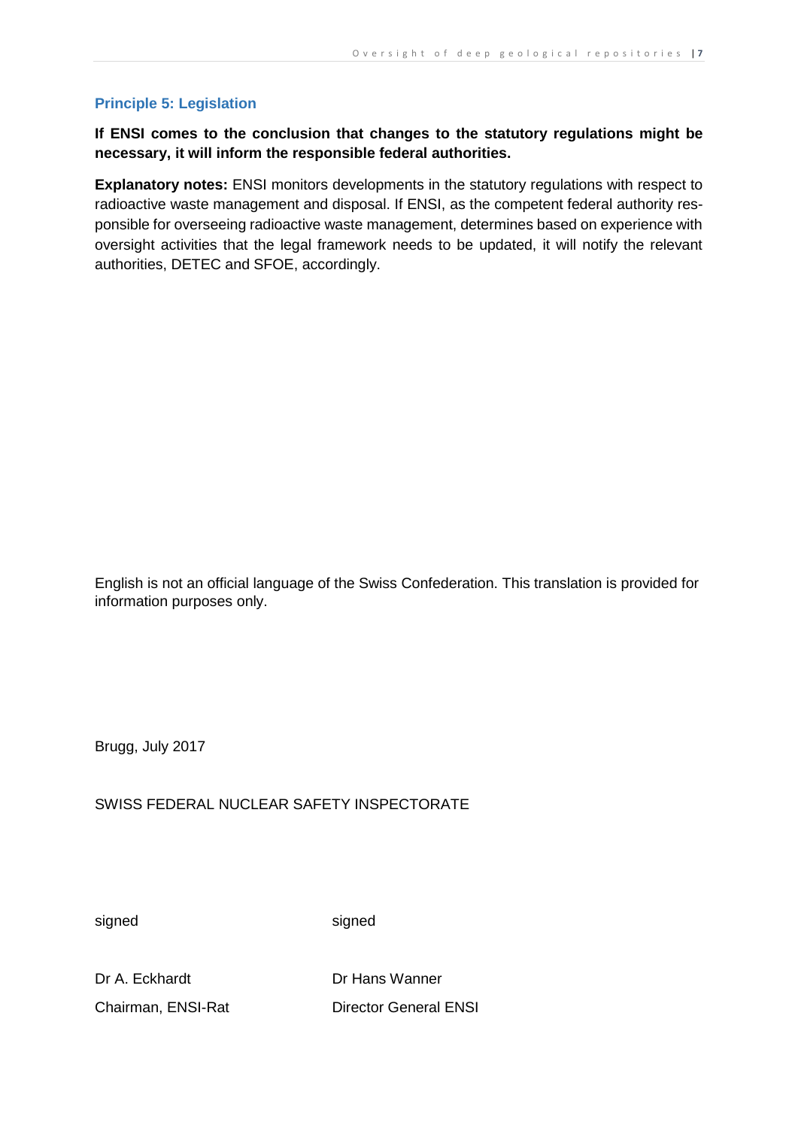# **Principle 5: Legislation**

# **If ENSI comes to the conclusion that changes to the statutory regulations might be necessary, it will inform the responsible federal authorities.**

**Explanatory notes:** ENSI monitors developments in the statutory regulations with respect to radioactive waste management and disposal. If ENSI, as the competent federal authority responsible for overseeing radioactive waste management, determines based on experience with oversight activities that the legal framework needs to be updated, it will notify the relevant authorities, DETEC and SFOE, accordingly.

English is not an official language of the Swiss Confederation. This translation is provided for information purposes only.

Brugg, July 2017

SWISS FEDERAL NUCLEAR SAFETY INSPECTORATE

signed signed signed

Dr A. Eckhardt Dr Hans Wanner

Chairman, ENSI-Rat Director General ENSI